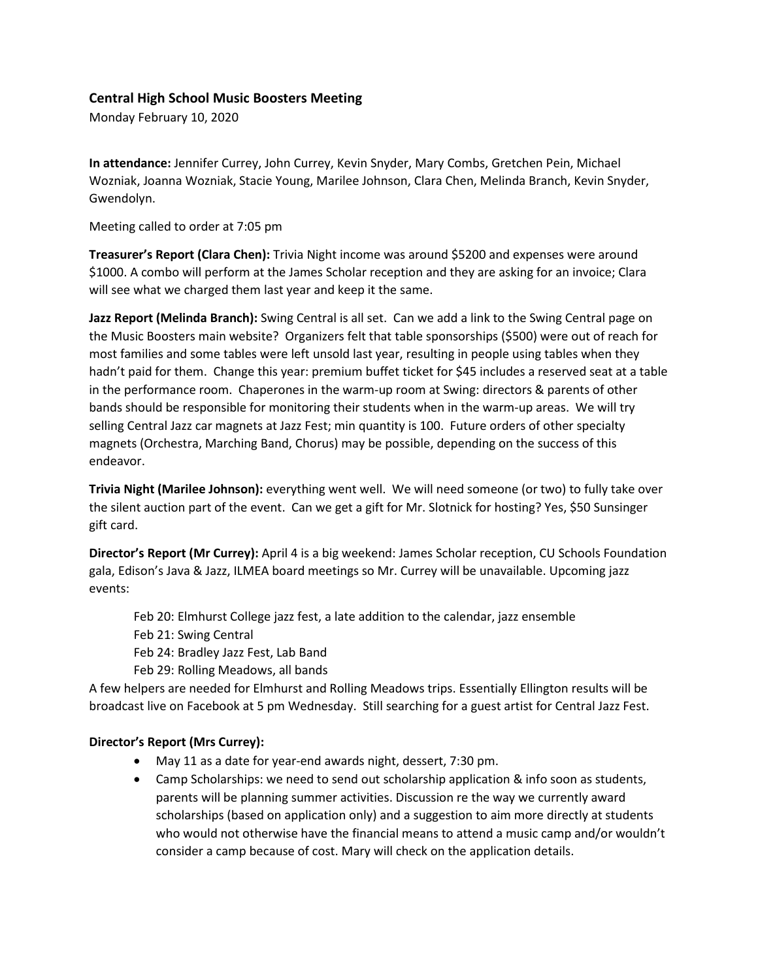## **Central High School Music Boosters Meeting**

Monday February 10, 2020

**In attendance:** Jennifer Currey, John Currey, Kevin Snyder, Mary Combs, Gretchen Pein, Michael Wozniak, Joanna Wozniak, Stacie Young, Marilee Johnson, Clara Chen, Melinda Branch, Kevin Snyder, Gwendolyn.

Meeting called to order at 7:05 pm

**Treasurer's Report (Clara Chen):** Trivia Night income was around \$5200 and expenses were around \$1000. A combo will perform at the James Scholar reception and they are asking for an invoice; Clara will see what we charged them last year and keep it the same.

**Jazz Report (Melinda Branch):** Swing Central is all set. Can we add a link to the Swing Central page on the Music Boosters main website? Organizers felt that table sponsorships (\$500) were out of reach for most families and some tables were left unsold last year, resulting in people using tables when they hadn't paid for them. Change this year: premium buffet ticket for \$45 includes a reserved seat at a table in the performance room. Chaperones in the warm-up room at Swing: directors & parents of other bands should be responsible for monitoring their students when in the warm-up areas. We will try selling Central Jazz car magnets at Jazz Fest; min quantity is 100. Future orders of other specialty magnets (Orchestra, Marching Band, Chorus) may be possible, depending on the success of this endeavor.

**Trivia Night (Marilee Johnson):** everything went well. We will need someone (or two) to fully take over the silent auction part of the event. Can we get a gift for Mr. Slotnick for hosting? Yes, \$50 Sunsinger gift card.

**Director's Report (Mr Currey):** April 4 is a big weekend: James Scholar reception, CU Schools Foundation gala, Edison's Java & Jazz, ILMEA board meetings so Mr. Currey will be unavailable. Upcoming jazz events:

- Feb 20: Elmhurst College jazz fest, a late addition to the calendar, jazz ensemble
- Feb 21: Swing Central
- Feb 24: Bradley Jazz Fest, Lab Band
- Feb 29: Rolling Meadows, all bands

A few helpers are needed for Elmhurst and Rolling Meadows trips. Essentially Ellington results will be broadcast live on Facebook at 5 pm Wednesday. Still searching for a guest artist for Central Jazz Fest.

## **Director's Report (Mrs Currey):**

- May 11 as a date for year-end awards night, dessert, 7:30 pm.
- Camp Scholarships: we need to send out scholarship application & info soon as students, parents will be planning summer activities. Discussion re the way we currently award scholarships (based on application only) and a suggestion to aim more directly at students who would not otherwise have the financial means to attend a music camp and/or wouldn't consider a camp because of cost. Mary will check on the application details.